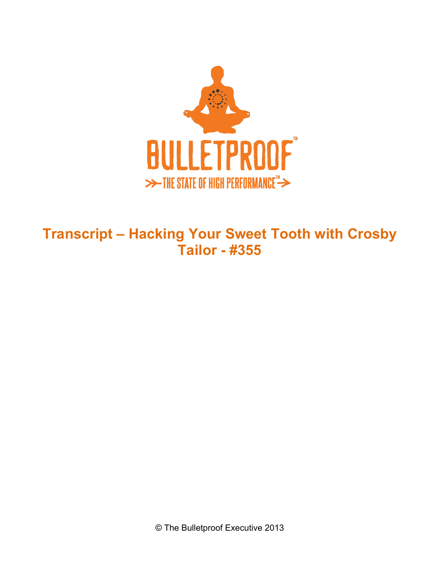

## **Transcript – Hacking Your Sweet Tooth with Crosby Tailor - #355**

© The Bulletproof Executive 2013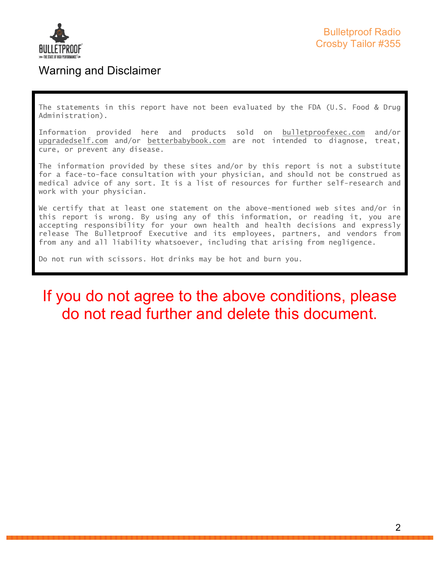

### Warning and Disclaimer

The statements in this report have not been evaluated by the FDA (U.S. Food & Drug Administration).

Information provided here and products sold on bulletproofexec.com and/or upgradedself.com and/or betterbabybook.com are not intended to diagnose, treat, cure, or prevent any disease.

The information provided by these sites and/or by this report is not a substitute for a face-to-face consultation with your physician, and should not be construed as medical advice of any sort. It is a list of resources for further self-research and work with your physician.

We certify that at least one statement on the above-mentioned web sites and/or in this report is wrong. By using any of this information, or reading it, you are accepting responsibility for your own health and health decisions and expressly release The Bulletproof Executive and its employees, partners, and vendors from from any and all liability whatsoever, including that arising from negligence.

Do not run with scissors. Hot drinks may be hot and burn you.

# If you do not agree to the above conditions, please do not read further and delete this document.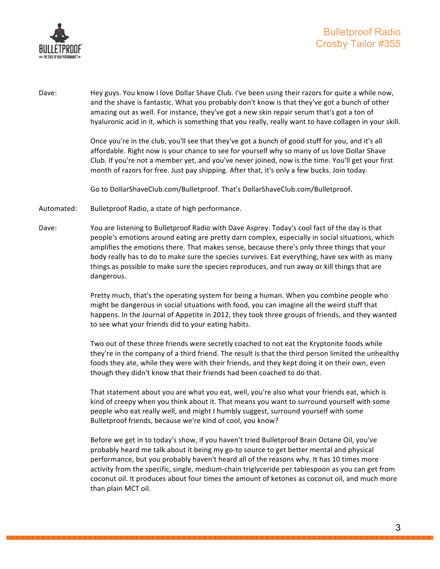

Dave: Hey guys. You know I love Dollar Shave Club. I've been using their razors for quite a while now, and the shave is fantastic. What you probably don't know is that they've got a bunch of other amazing out as well. For instance, they've got a new skin repair serum that's got a ton of hyaluronic acid in it, which is something that you really, really want to have collagen in your skill.

> Once you're in the club, you'll see that they've got a bunch of good stuff for you, and it's all affordable. Right now is your chance to see for yourself why so many of us love Dollar Shave Club. If you're not a member yet, and you've never joined, now is the time. You'll get your first month of razors for free. Just pay shipping. After that, it's only a few bucks. Join today.

Go to DollarShaveClub.com/Bulletproof. That's DollarShaveClub.com/Bulletproof.

- Automated: Bulletproof Radio, a state of high performance.
- Dave: You are listening to Bulletproof Radio with Dave Asprey. Today's cool fact of the day is that people's emotions around eating are pretty darn complex, especially in social situations, which amplifies the emotions there. That makes sense, because there's only three things that your body really has to do to make sure the species survives. Eat everything, have sex with as many things as possible to make sure the species reproduces, and run away or kill things that are dangerous.

Pretty much, that's the operating system for being a human. When you combine people who might be dangerous in social situations with food, you can imagine all the weird stuff that happens. In the Journal of Appetite in 2012, they took three groups of friends, and they wanted to see what your friends did to your eating habits.

Two out of these three friends were secretly coached to not eat the Kryptonite foods while they're in the company of a third friend. The result is that the third person limited the unhealthy foods they ate, while they were with their friends, and they kept doing it on their own, even though they didn't know that their friends had been coached to do that.

That statement about you are what you eat, well, you're also what your friends eat, which is kind of creepy when you think about it. That means you want to surround yourself with some people who eat really well, and might I humbly suggest, surround yourself with some Bulletproof friends, because we're kind of cool, you know?

Before we get in to today's show, if you haven't tried Bulletproof Brain Octane Oil, you've probably heard me talk about it being my go-to source to get better mental and physical performance, but you probably haven't heard all of the reasons why. It has 10 times more activity from the specific, single, medium-chain triglyceride per tablespoon as you can get from coconut oil. It produces about four times the amount of ketones as coconut oil, and much more than plain MCT oil.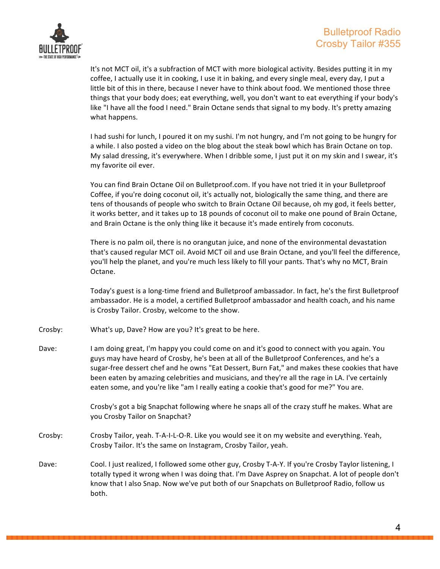

It's not MCT oil, it's a subfraction of MCT with more biological activity. Besides putting it in my coffee, I actually use it in cooking, I use it in baking, and every single meal, every day, I put a little bit of this in there, because I never have to think about food. We mentioned those three things that your body does; eat everything, well, you don't want to eat everything if your body's like "I have all the food I need." Brain Octane sends that signal to my body. It's pretty amazing what happens.

I had sushi for lunch, I poured it on my sushi. I'm not hungry, and I'm not going to be hungry for a while. I also posted a video on the blog about the steak bowl which has Brain Octane on top. My salad dressing, it's everywhere. When I dribble some, I just put it on my skin and I swear, it's my favorite oil ever.

You can find Brain Octane Oil on Bulletproof.com. If you have not tried it in your Bulletproof Coffee, if you're doing coconut oil, it's actually not, biologically the same thing, and there are tens of thousands of people who switch to Brain Octane Oil because, oh my god, it feels better, it works better, and it takes up to 18 pounds of coconut oil to make one pound of Brain Octane, and Brain Octane is the only thing like it because it's made entirely from coconuts.

There is no palm oil, there is no orangutan juice, and none of the environmental devastation that's caused regular MCT oil. Avoid MCT oil and use Brain Octane, and you'll feel the difference, you'll help the planet, and you're much less likely to fill your pants. That's why no MCT, Brain Octane.

Today's guest is a long-time friend and Bulletproof ambassador. In fact, he's the first Bulletproof ambassador. He is a model, a certified Bulletproof ambassador and health coach, and his name is Crosby Tailor. Crosby, welcome to the show.

- Crosby: What's up, Dave? How are you? It's great to be here.
- Dave: I am doing great, I'm happy you could come on and it's good to connect with you again. You guys may have heard of Crosby, he's been at all of the Bulletproof Conferences, and he's a sugar-free dessert chef and he owns "Eat Dessert, Burn Fat," and makes these cookies that have been eaten by amazing celebrities and musicians, and they're all the rage in LA. I've certainly eaten some, and you're like "am I really eating a cookie that's good for me?" You are.

Crosby's got a big Snapchat following where he snaps all of the crazy stuff he makes. What are you Crosby Tailor on Snapchat?

- Crosby: Crosby Tailor, yeah. T-A-I-L-O-R. Like you would see it on my website and everything. Yeah, Crosby Tailor. It's the same on Instagram, Crosby Tailor, yeah.
- Dave: Cool. I just realized, I followed some other guy, Crosby T-A-Y. If you're Crosby Taylor listening, I totally typed it wrong when I was doing that. I'm Dave Asprey on Snapchat. A lot of people don't know that I also Snap. Now we've put both of our Snapchats on Bulletproof Radio, follow us both.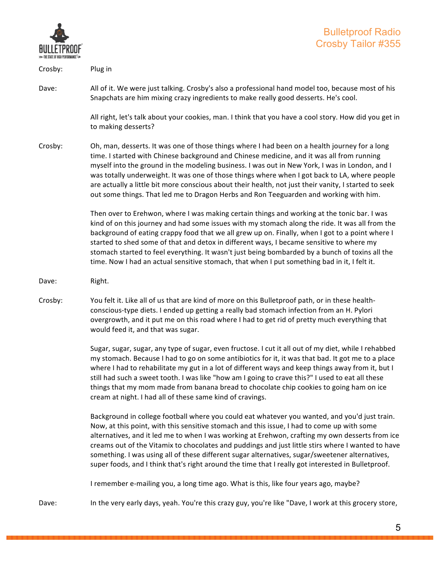

| Crosby: | Plug in                                                                                                                                                                                                                                                                                                                                                                                                                                                                                                                                                                                                      |
|---------|--------------------------------------------------------------------------------------------------------------------------------------------------------------------------------------------------------------------------------------------------------------------------------------------------------------------------------------------------------------------------------------------------------------------------------------------------------------------------------------------------------------------------------------------------------------------------------------------------------------|
| Dave:   | All of it. We were just talking. Crosby's also a professional hand model too, because most of his<br>Snapchats are him mixing crazy ingredients to make really good desserts. He's cool.                                                                                                                                                                                                                                                                                                                                                                                                                     |
|         | All right, let's talk about your cookies, man. I think that you have a cool story. How did you get in<br>to making desserts?                                                                                                                                                                                                                                                                                                                                                                                                                                                                                 |
| Crosby: | Oh, man, desserts. It was one of those things where I had been on a health journey for a long<br>time. I started with Chinese background and Chinese medicine, and it was all from running<br>myself into the ground in the modeling business. I was out in New York, I was in London, and I<br>was totally underweight. It was one of those things where when I got back to LA, where people<br>are actually a little bit more conscious about their health, not just their vanity, I started to seek<br>out some things. That led me to Dragon Herbs and Ron Teeguarden and working with him.              |
|         | Then over to Erehwon, where I was making certain things and working at the tonic bar. I was<br>kind of on this journey and had some issues with my stomach along the ride. It was all from the<br>background of eating crappy food that we all grew up on. Finally, when I got to a point where I<br>started to shed some of that and detox in different ways, I became sensitive to where my<br>stomach started to feel everything. It wasn't just being bombarded by a bunch of toxins all the<br>time. Now I had an actual sensitive stomach, that when I put something bad in it, I felt it.             |
| Dave:   | Right.                                                                                                                                                                                                                                                                                                                                                                                                                                                                                                                                                                                                       |
|         |                                                                                                                                                                                                                                                                                                                                                                                                                                                                                                                                                                                                              |
| Crosby: | You felt it. Like all of us that are kind of more on this Bulletproof path, or in these health-<br>conscious-type diets. I ended up getting a really bad stomach infection from an H. Pylori<br>overgrowth, and it put me on this road where I had to get rid of pretty much everything that<br>would feed it, and that was sugar.                                                                                                                                                                                                                                                                           |
|         | Sugar, sugar, sugar, any type of sugar, even fructose. I cut it all out of my diet, while I rehabbed<br>my stomach. Because I had to go on some antibiotics for it, it was that bad. It got me to a place<br>where I had to rehabilitate my gut in a lot of different ways and keep things away from it, but I<br>still had such a sweet tooth. I was like "how am I going to crave this?" I used to eat all these<br>things that my mom made from banana bread to chocolate chip cookies to going ham on ice<br>cream at night. I had all of these same kind of cravings.                                   |
|         | Background in college football where you could eat whatever you wanted, and you'd just train.<br>Now, at this point, with this sensitive stomach and this issue, I had to come up with some<br>alternatives, and it led me to when I was working at Erehwon, crafting my own desserts from ice<br>creams out of the Vitamix to chocolates and puddings and just little stirs where I wanted to have<br>something. I was using all of these different sugar alternatives, sugar/sweetener alternatives,<br>super foods, and I think that's right around the time that I really got interested in Bulletproof. |
|         | I remember e-mailing you, a long time ago. What is this, like four years ago, maybe?                                                                                                                                                                                                                                                                                                                                                                                                                                                                                                                         |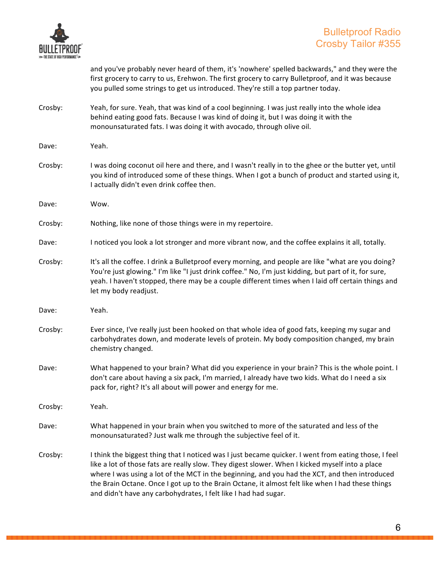

|         | and you've probably never heard of them, it's 'nowhere' spelled backwards," and they were the<br>first grocery to carry to us, Erehwon. The first grocery to carry Bulletproof, and it was because<br>you pulled some strings to get us introduced. They're still a top partner today.                           |
|---------|------------------------------------------------------------------------------------------------------------------------------------------------------------------------------------------------------------------------------------------------------------------------------------------------------------------|
| Crosby: | Yeah, for sure. Yeah, that was kind of a cool beginning. I was just really into the whole idea<br>behind eating good fats. Because I was kind of doing it, but I was doing it with the<br>monounsaturated fats. I was doing it with avocado, through olive oil.                                                  |
| Dave:   | Yeah.                                                                                                                                                                                                                                                                                                            |
| Crosby: | I was doing coconut oil here and there, and I wasn't really in to the ghee or the butter yet, until<br>you kind of introduced some of these things. When I got a bunch of product and started using it,<br>I actually didn't even drink coffee then.                                                             |
| Dave:   | Wow.                                                                                                                                                                                                                                                                                                             |
| Crosby: | Nothing, like none of those things were in my repertoire.                                                                                                                                                                                                                                                        |
| Dave:   | I noticed you look a lot stronger and more vibrant now, and the coffee explains it all, totally.                                                                                                                                                                                                                 |
| Crosby: | It's all the coffee. I drink a Bulletproof every morning, and people are like "what are you doing?<br>You're just glowing." I'm like "I just drink coffee." No, I'm just kidding, but part of it, for sure,<br>yeah. I haven't stopped, there may be a couple different times when I laid off certain things and |

Dave: Yeah.

let my body readjust.

- Crosby: Ever since, I've really just been hooked on that whole idea of good fats, keeping my sugar and carbohydrates down, and moderate levels of protein. My body composition changed, my brain chemistry changed.
- Dave: What happened to your brain? What did you experience in your brain? This is the whole point. I don't care about having a six pack, I'm married, I already have two kids. What do I need a six pack for, right? It's all about will power and energy for me.
- Crosby: Yeah.
- Dave: What happened in your brain when you switched to more of the saturated and less of the monounsaturated? Just walk me through the subjective feel of it.
- Crosby: I think the biggest thing that I noticed was I just became quicker. I went from eating those, I feel like a lot of those fats are really slow. They digest slower. When I kicked myself into a place where I was using a lot of the MCT in the beginning, and you had the XCT, and then introduced the Brain Octane. Once I got up to the Brain Octane, it almost felt like when I had these things and didn't have any carbohydrates, I felt like I had had sugar.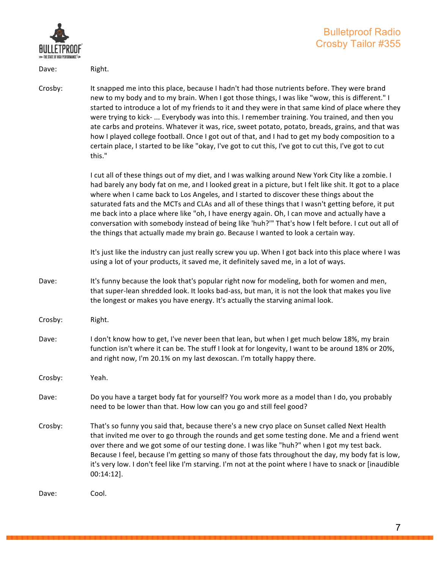

Dave: Right.

Crosby: It snapped me into this place, because I hadn't had those nutrients before. They were brand new to my body and to my brain. When I got those things, I was like "wow, this is different." I started to introduce a lot of my friends to it and they were in that same kind of place where they were trying to kick- ... Everybody was into this. I remember training. You trained, and then you ate carbs and proteins. Whatever it was, rice, sweet potato, potato, breads, grains, and that was how I played college football. Once I got out of that, and I had to get my body composition to a certain place, I started to be like "okay, I've got to cut this, I've got to cut this, I've got to cut this."

> I cut all of these things out of my diet, and I was walking around New York City like a zombie. I had barely any body fat on me, and I looked great in a picture, but I felt like shit. It got to a place where when I came back to Los Angeles, and I started to discover these things about the saturated fats and the MCTs and CLAs and all of these things that I wasn't getting before, it put me back into a place where like "oh, I have energy again. Oh, I can move and actually have a conversation with somebody instead of being like 'huh?'" That's how I felt before. I cut out all of the things that actually made my brain go. Because I wanted to look a certain way.

> It's just like the industry can just really screw you up. When I got back into this place where I was using a lot of your products, it saved me, it definitely saved me, in a lot of ways.

- Dave: It's funny because the look that's popular right now for modeling, both for women and men, that super-lean shredded look. It looks bad-ass, but man, it is not the look that makes you live the longest or makes you have energy. It's actually the starving animal look.
- Crosby: Right.
- Dave: I don't know how to get, I've never been that lean, but when I get much below 18%, my brain function isn't where it can be. The stuff I look at for longevity, I want to be around 18% or 20%, and right now, I'm 20.1% on my last dexoscan. I'm totally happy there.

Crosby: Yeah.

- Dave: Do you have a target body fat for yourself? You work more as a model than I do, you probably need to be lower than that. How low can you go and still feel good?
- Crosby: That's so funny you said that, because there's a new cryo place on Sunset called Next Health that invited me over to go through the rounds and get some testing done. Me and a friend went over there and we got some of our testing done. I was like "huh?" when I got my test back. Because I feel, because I'm getting so many of those fats throughout the day, my body fat is low, it's very low. I don't feel like I'm starving. I'm not at the point where I have to snack or [inaudible 00:14:12].

Dave: Cool.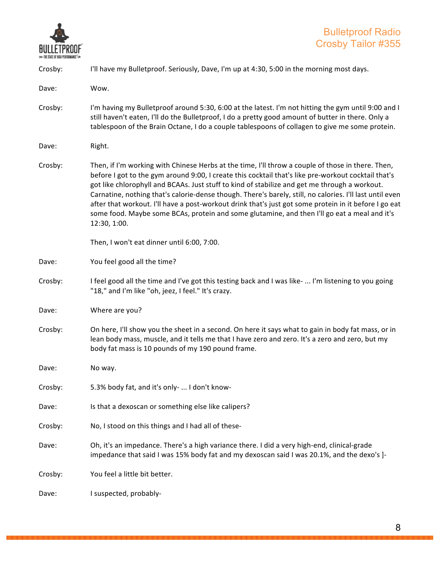

| Crosby: | I'll have my Bulletproof. Seriously, Dave, I'm up at 4:30, 5:00 in the morning most days.                                                                                                                                                                                                                                                                                                                                                                                                                                                                                                                                                      |
|---------|------------------------------------------------------------------------------------------------------------------------------------------------------------------------------------------------------------------------------------------------------------------------------------------------------------------------------------------------------------------------------------------------------------------------------------------------------------------------------------------------------------------------------------------------------------------------------------------------------------------------------------------------|
| Dave:   | Wow.                                                                                                                                                                                                                                                                                                                                                                                                                                                                                                                                                                                                                                           |
| Crosby: | I'm having my Bulletproof around 5:30, 6:00 at the latest. I'm not hitting the gym until 9:00 and I<br>still haven't eaten, I'll do the Bulletproof, I do a pretty good amount of butter in there. Only a<br>tablespoon of the Brain Octane, I do a couple tablespoons of collagen to give me some protein.                                                                                                                                                                                                                                                                                                                                    |
| Dave:   | Right.                                                                                                                                                                                                                                                                                                                                                                                                                                                                                                                                                                                                                                         |
| Crosby: | Then, if I'm working with Chinese Herbs at the time, I'll throw a couple of those in there. Then,<br>before I got to the gym around 9:00, I create this cocktail that's like pre-workout cocktail that's<br>got like chlorophyll and BCAAs. Just stuff to kind of stabilize and get me through a workout.<br>Carnatine, nothing that's calorie-dense though. There's barely, still, no calories. I'll last until even<br>after that workout. I'll have a post-workout drink that's just got some protein in it before I go eat<br>some food. Maybe some BCAs, protein and some glutamine, and then I'll go eat a meal and it's<br>12:30, 1:00. |
|         | Then, I won't eat dinner until 6:00, 7:00.                                                                                                                                                                                                                                                                                                                                                                                                                                                                                                                                                                                                     |
| Dave:   | You feel good all the time?                                                                                                                                                                                                                                                                                                                                                                                                                                                                                                                                                                                                                    |
| Crosby: | I feel good all the time and I've got this testing back and I was like-  I'm listening to you going<br>"18," and I'm like "oh, jeez, I feel." It's crazy.                                                                                                                                                                                                                                                                                                                                                                                                                                                                                      |
| Dave:   | Where are you?                                                                                                                                                                                                                                                                                                                                                                                                                                                                                                                                                                                                                                 |
| Crosby: | On here, I'll show you the sheet in a second. On here it says what to gain in body fat mass, or in<br>lean body mass, muscle, and it tells me that I have zero and zero. It's a zero and zero, but my<br>body fat mass is 10 pounds of my 190 pound frame.                                                                                                                                                                                                                                                                                                                                                                                     |
| Dave:   | No way.                                                                                                                                                                                                                                                                                                                                                                                                                                                                                                                                                                                                                                        |
| Crosby: | 5.3% body fat, and it's only-  I don't know-                                                                                                                                                                                                                                                                                                                                                                                                                                                                                                                                                                                                   |
| Dave:   | Is that a dexoscan or something else like calipers?                                                                                                                                                                                                                                                                                                                                                                                                                                                                                                                                                                                            |
| Crosby: | No, I stood on this things and I had all of these-                                                                                                                                                                                                                                                                                                                                                                                                                                                                                                                                                                                             |
| Dave:   | Oh, it's an impedance. There's a high variance there. I did a very high-end, clinical-grade<br>impedance that said I was 15% body fat and my dexoscan said I was 20.1%, and the dexo's ]-                                                                                                                                                                                                                                                                                                                                                                                                                                                      |
| Crosby: | You feel a little bit better.                                                                                                                                                                                                                                                                                                                                                                                                                                                                                                                                                                                                                  |
| Dave:   | I suspected, probably-                                                                                                                                                                                                                                                                                                                                                                                                                                                                                                                                                                                                                         |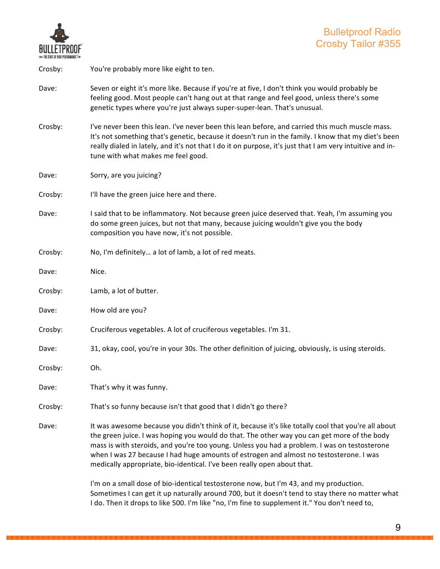

| Crosby: | You're probably more like eight to ten.                                                                                                                                                                                                                                                                                                                                                                                                                                 |
|---------|-------------------------------------------------------------------------------------------------------------------------------------------------------------------------------------------------------------------------------------------------------------------------------------------------------------------------------------------------------------------------------------------------------------------------------------------------------------------------|
| Dave:   | Seven or eight it's more like. Because if you're at five, I don't think you would probably be<br>feeling good. Most people can't hang out at that range and feel good, unless there's some<br>genetic types where you're just always super-super-lean. That's unusual.                                                                                                                                                                                                  |
| Crosby: | I've never been this lean. I've never been this lean before, and carried this much muscle mass.<br>It's not something that's genetic, because it doesn't run in the family. I know that my diet's been<br>really dialed in lately, and it's not that I do it on purpose, it's just that I am very intuitive and in-<br>tune with what makes me feel good.                                                                                                               |
| Dave:   | Sorry, are you juicing?                                                                                                                                                                                                                                                                                                                                                                                                                                                 |
| Crosby: | I'll have the green juice here and there.                                                                                                                                                                                                                                                                                                                                                                                                                               |
| Dave:   | I said that to be inflammatory. Not because green juice deserved that. Yeah, I'm assuming you<br>do some green juices, but not that many, because juicing wouldn't give you the body<br>composition you have now, it's not possible.                                                                                                                                                                                                                                    |
| Crosby: | No, I'm definitely a lot of lamb, a lot of red meats.                                                                                                                                                                                                                                                                                                                                                                                                                   |
| Dave:   | Nice.                                                                                                                                                                                                                                                                                                                                                                                                                                                                   |
| Crosby: | Lamb, a lot of butter.                                                                                                                                                                                                                                                                                                                                                                                                                                                  |
| Dave:   | How old are you?                                                                                                                                                                                                                                                                                                                                                                                                                                                        |
| Crosby: | Cruciferous vegetables. A lot of cruciferous vegetables. I'm 31.                                                                                                                                                                                                                                                                                                                                                                                                        |
| Dave:   | 31, okay, cool, you're in your 30s. The other definition of juicing, obviously, is using steroids.                                                                                                                                                                                                                                                                                                                                                                      |
| Crosby: | Oh.                                                                                                                                                                                                                                                                                                                                                                                                                                                                     |
| Dave:   | That's why it was funny.                                                                                                                                                                                                                                                                                                                                                                                                                                                |
| Crosby: | That's so funny because isn't that good that I didn't go there?                                                                                                                                                                                                                                                                                                                                                                                                         |
| Dave:   | It was awesome because you didn't think of it, because it's like totally cool that you're all about<br>the green juice. I was hoping you would do that. The other way you can get more of the body<br>mass is with steroids, and you're too young. Unless you had a problem. I was on testosterone<br>when I was 27 because I had huge amounts of estrogen and almost no testosterone. I was<br>medically appropriate, bio-identical. I've been really open about that. |
|         | I'm on a small dose of bio-identical testosterone now, but I'm 43, and my production.<br>Sometimes I can get it up naturally around 700, but it doesn't tend to stay there no matter what<br>I do. Then it drops to like 500. I'm like "no, I'm fine to supplement it." You don't need to,                                                                                                                                                                              |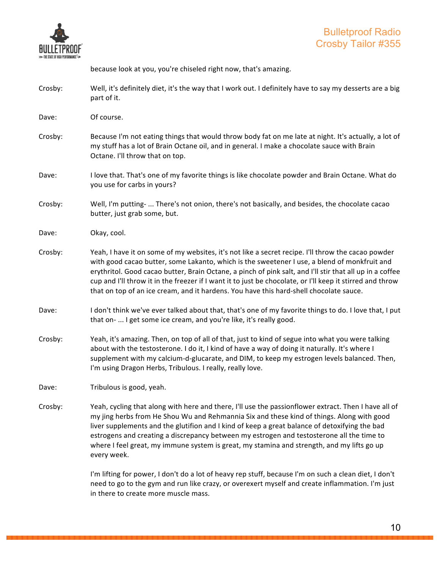

because look at you, you're chiseled right now, that's amazing.

Crosby: Well, it's definitely diet, it's the way that I work out. I definitely have to say my desserts are a big part of it.

Dave: Of course.

- Crosby: Because I'm not eating things that would throw body fat on me late at night. It's actually, a lot of my stuff has a lot of Brain Octane oil, and in general. I make a chocolate sauce with Brain Octane. I'll throw that on top.
- Dave: I love that. That's one of my favorite things is like chocolate powder and Brain Octane. What do you use for carbs in yours?
- Crosby: Well, I'm putting- ... There's not onion, there's not basically, and besides, the chocolate cacao butter, just grab some, but.

Dave: Okay, cool.

- Crosby: Yeah, I have it on some of my websites, it's not like a secret recipe. I'll throw the cacao powder with good cacao butter, some Lakanto, which is the sweetener I use, a blend of monkfruit and erythritol. Good cacao butter, Brain Octane, a pinch of pink salt, and I'll stir that all up in a coffee cup and I'll throw it in the freezer if I want it to just be chocolate, or I'll keep it stirred and throw that on top of an ice cream, and it hardens. You have this hard-shell chocolate sauce.
- Dave: I don't think we've ever talked about that, that's one of my favorite things to do. I love that, I put that on- ... I get some ice cream, and you're like, it's really good.
- Crosby: Yeah, it's amazing. Then, on top of all of that, just to kind of segue into what you were talking about with the testosterone. I do it, I kind of have a way of doing it naturally. It's where I supplement with my calcium-d-glucarate, and DIM, to keep my estrogen levels balanced. Then, I'm using Dragon Herbs, Tribulous. I really, really love.

Dave: Tribulous is good, yeah.

Crosby: Yeah, cycling that along with here and there, I'll use the passionflower extract. Then I have all of my jing herbs from He Shou Wu and Rehmannia Six and these kind of things. Along with good liver supplements and the glutifion and I kind of keep a great balance of detoxifying the bad estrogens and creating a discrepancy between my estrogen and testosterone all the time to where I feel great, my immune system is great, my stamina and strength, and my lifts go up every week.

> I'm lifting for power, I don't do a lot of heavy rep stuff, because I'm on such a clean diet, I don't need to go to the gym and run like crazy, or overexert myself and create inflammation. I'm just in there to create more muscle mass.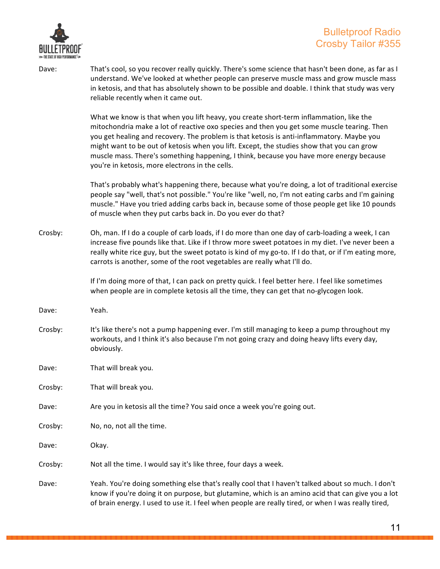

#### Bulletproof Radio Crosby Tailor #355

Dave: That's cool, so you recover really quickly. There's some science that hasn't been done, as far as I understand. We've looked at whether people can preserve muscle mass and grow muscle mass in ketosis, and that has absolutely shown to be possible and doable. I think that study was very reliable recently when it came out.

> What we know is that when you lift heavy, you create short-term inflammation, like the mitochondria make a lot of reactive oxo species and then you get some muscle tearing. Then you get healing and recovery. The problem is that ketosis is anti-inflammatory. Maybe you might want to be out of ketosis when you lift. Except, the studies show that you can grow muscle mass. There's something happening, I think, because you have more energy because you're in ketosis, more electrons in the cells.

That's probably what's happening there, because what you're doing, a lot of traditional exercise people say "well, that's not possible." You're like "well, no, I'm not eating carbs and I'm gaining muscle." Have you tried adding carbs back in, because some of those people get like 10 pounds of muscle when they put carbs back in. Do you ever do that?

Crosby: Oh, man. If I do a couple of carb loads, if I do more than one day of carb-loading a week, I can increase five pounds like that. Like if I throw more sweet potatoes in my diet. I've never been a really white rice guy, but the sweet potato is kind of my go-to. If I do that, or if I'm eating more, carrots is another, some of the root vegetables are really what I'll do.

> If I'm doing more of that, I can pack on pretty quick. I feel better here. I feel like sometimes when people are in complete ketosis all the time, they can get that no-glycogen look.

- Dave: Yeah.
- Crosby: It's like there's not a pump happening ever. I'm still managing to keep a pump throughout my workouts, and I think it's also because I'm not going crazy and doing heavy lifts every day, obviously.
- Dave: That will break you.
- Crosby: That will break you.
- Dave: Are you in ketosis all the time? You said once a week you're going out.
- Crosby: No, no, not all the time.
- Dave: Okay.
- Crosby: Not all the time. I would say it's like three, four days a week.
- Dave: Yeah. You're doing something else that's really cool that I haven't talked about so much. I don't know if you're doing it on purpose, but glutamine, which is an amino acid that can give you a lot of brain energy. I used to use it. I feel when people are really tired, or when I was really tired,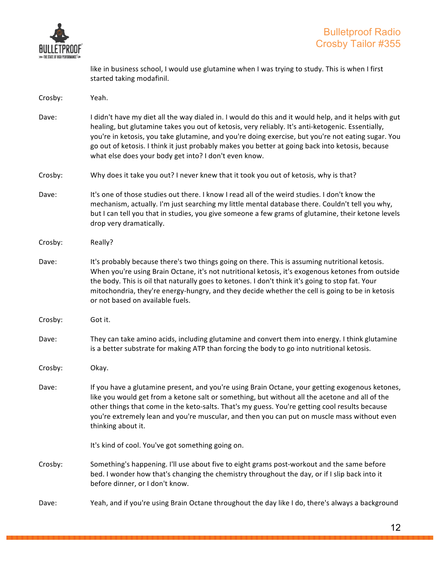

like in business school, I would use glutamine when I was trying to study. This is when I first started taking modafinil.

| Crosby: | Yeah.                                                                                                                                                                                                                                                                                                                                                                                                                                                                         |
|---------|-------------------------------------------------------------------------------------------------------------------------------------------------------------------------------------------------------------------------------------------------------------------------------------------------------------------------------------------------------------------------------------------------------------------------------------------------------------------------------|
| Dave:   | I didn't have my diet all the way dialed in. I would do this and it would help, and it helps with gut<br>healing, but glutamine takes you out of ketosis, very reliably. It's anti-ketogenic. Essentially,<br>you're in ketosis, you take glutamine, and you're doing exercise, but you're not eating sugar. You<br>go out of ketosis. I think it just probably makes you better at going back into ketosis, because<br>what else does your body get into? I don't even know. |
| Crosby: | Why does it take you out? I never knew that it took you out of ketosis, why is that?                                                                                                                                                                                                                                                                                                                                                                                          |
| Dave:   | It's one of those studies out there. I know I read all of the weird studies. I don't know the<br>mechanism, actually. I'm just searching my little mental database there. Couldn't tell you why,<br>but I can tell you that in studies, you give someone a few grams of glutamine, their ketone levels<br>drop very dramatically.                                                                                                                                             |
| Crosby: | Really?                                                                                                                                                                                                                                                                                                                                                                                                                                                                       |
| Dave:   | It's probably because there's two things going on there. This is assuming nutritional ketosis.<br>When you're using Brain Octane, it's not nutritional ketosis, it's exogenous ketones from outside<br>the body. This is oil that naturally goes to ketones. I don't think it's going to stop fat. Your<br>mitochondria, they're energy-hungry, and they decide whether the cell is going to be in ketosis<br>or not based on available fuels.                                |
| Crosby: | Got it.                                                                                                                                                                                                                                                                                                                                                                                                                                                                       |
| Dave:   | They can take amino acids, including glutamine and convert them into energy. I think glutamine<br>is a better substrate for making ATP than forcing the body to go into nutritional ketosis.                                                                                                                                                                                                                                                                                  |
| Crosby: | Okay.                                                                                                                                                                                                                                                                                                                                                                                                                                                                         |
| Dave:   | If you have a glutamine present, and you're using Brain Octane, your getting exogenous ketones,<br>like you would get from a ketone salt or something, but without all the acetone and all of the<br>other things that come in the keto-salts. That's my guess. You're getting cool results because<br>you're extremely lean and you're muscular, and then you can put on muscle mass without even<br>thinking about it.                                                      |
|         | It's kind of cool. You've got something going on.                                                                                                                                                                                                                                                                                                                                                                                                                             |
| Crosby: | Something's happening. I'll use about five to eight grams post-workout and the same before<br>bed. I wonder how that's changing the chemistry throughout the day, or if I slip back into it<br>before dinner, or I don't know.                                                                                                                                                                                                                                                |
| Dave:   | Yeah, and if you're using Brain Octane throughout the day like I do, there's always a background                                                                                                                                                                                                                                                                                                                                                                              |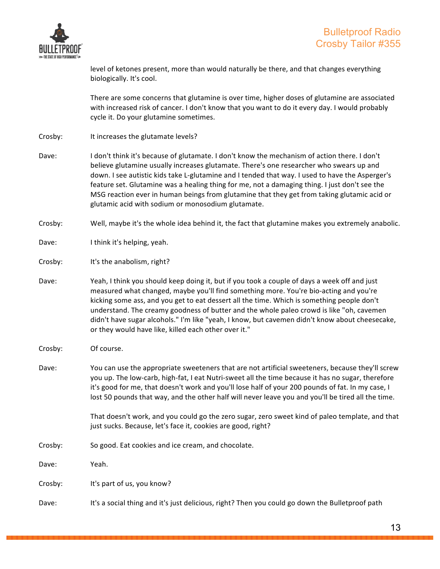

level of ketones present, more than would naturally be there, and that changes everything biologically. It's cool.

There are some concerns that glutamine is over time, higher doses of glutamine are associated with increased risk of cancer. I don't know that you want to do it every day. I would probably cycle it. Do your glutamine sometimes.

- Crosby: It increases the glutamate levels?
- Dave: I don't think it's because of glutamate. I don't know the mechanism of action there. I don't believe glutamine usually increases glutamate. There's one researcher who swears up and down. I see autistic kids take L-glutamine and I tended that way. I used to have the Asperger's feature set. Glutamine was a healing thing for me, not a damaging thing. I just don't see the MSG reaction ever in human beings from glutamine that they get from taking glutamic acid or glutamic acid with sodium or monosodium glutamate.
- Crosby: Well, maybe it's the whole idea behind it, the fact that glutamine makes you extremely anabolic.
- Dave: I think it's helping, yeah.
- Crosby: It's the anabolism, right?
- Dave: Yeah, I think you should keep doing it, but if you took a couple of days a week off and just measured what changed, maybe you'll find something more. You're bio-acting and you're kicking some ass, and you get to eat dessert all the time. Which is something people don't understand. The creamy goodness of butter and the whole paleo crowd is like "oh, cavemen didn't have sugar alcohols." I'm like "yeah, I know, but cavemen didn't know about cheesecake, or they would have like, killed each other over it."
- Crosby: Of course.
- Dave: You can use the appropriate sweeteners that are not artificial sweeteners, because they'll screw you up. The low-carb, high-fat, I eat Nutri-sweet all the time because it has no sugar, therefore it's good for me, that doesn't work and you'll lose half of your 200 pounds of fat. In my case, I lost 50 pounds that way, and the other half will never leave you and you'll be tired all the time.

That doesn't work, and you could go the zero sugar, zero sweet kind of paleo template, and that just sucks. Because, let's face it, cookies are good, right?

Crosby: So good. Eat cookies and ice cream, and chocolate.

Dave: Yeah.

Crosby: It's part of us, you know?

Dave: It's a social thing and it's just delicious, right? Then you could go down the Bulletproof path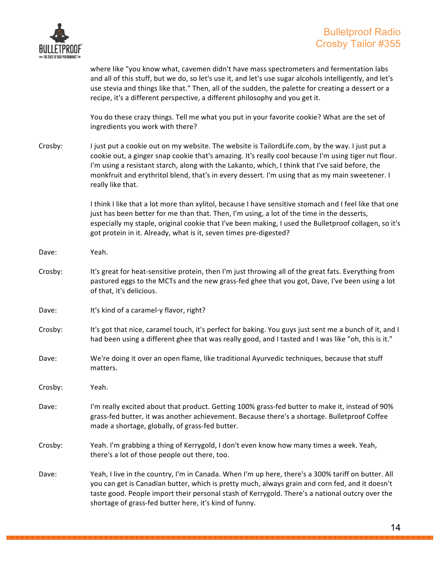

where like "you know what, cavemen didn't have mass spectrometers and fermentation labs and all of this stuff, but we do, so let's use it, and let's use sugar alcohols intelligently, and let's use stevia and things like that." Then, all of the sudden, the palette for creating a dessert or a recipe, it's a different perspective, a different philosophy and you get it.

You do these crazy things. Tell me what you put in your favorite cookie? What are the set of ingredients you work with there?

Crosby: I just put a cookie out on my website. The website is TailordLife.com, by the way. I just put a cookie out, a ginger snap cookie that's amazing. It's really cool because I'm using tiger nut flour. I'm using a resistant starch, along with the Lakanto, which, I think that I've said before, the monkfruit and erythritol blend, that's in every dessert. I'm using that as my main sweetener. I really like that.

> I think I like that a lot more than xylitol, because I have sensitive stomach and I feel like that one just has been better for me than that. Then, I'm using, a lot of the time in the desserts, especially my staple, original cookie that I've been making, I used the Bulletproof collagen, so it's got protein in it. Already, what is it, seven times pre-digested?

- Dave: Yeah.
- Crosby: It's great for heat-sensitive protein, then I'm just throwing all of the great fats. Everything from pastured eggs to the MCTs and the new grass-fed ghee that you got, Dave, I've been using a lot of that, it's delicious.
- Dave: It's kind of a caramel-y flavor, right?
- Crosby: It's got that nice, caramel touch, it's perfect for baking. You guys just sent me a bunch of it, and I had been using a different ghee that was really good, and I tasted and I was like "oh, this is it."
- Dave: We're doing it over an open flame, like traditional Ayurvedic techniques, because that stuff matters.

Crosby: Yeah.

Dave: I'm really excited about that product. Getting 100% grass-fed butter to make it, instead of 90% grass-fed butter, it was another achievement. Because there's a shortage. Bulletproof Coffee made a shortage, globally, of grass-fed butter.

- Crosby: Yeah. I'm grabbing a thing of Kerrygold, I don't even know how many times a week. Yeah, there's a lot of those people out there, too.
- Dave: Yeah, I live in the country, I'm in Canada. When I'm up here, there's a 300% tariff on butter. All you can get is Canadian butter, which is pretty much, always grain and corn fed, and it doesn't taste good. People import their personal stash of Kerrygold. There's a national outcry over the shortage of grass-fed butter here, it's kind of funny.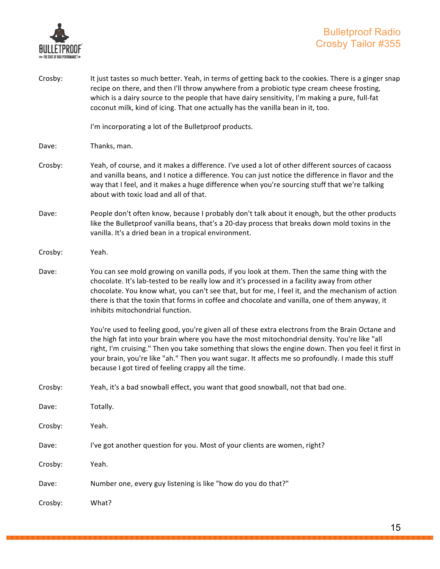

| Crosby: | It just tastes so much better. Yeah, in terms of getting back to the cookies. There is a ginger snap<br>recipe on there, and then I'll throw anywhere from a probiotic type cream cheese frosting,<br>which is a dairy source to the people that have dairy sensitivity, I'm making a pure, full-fat<br>coconut milk, kind of icing. That one actually has the vanilla bean in it, too.                                                                             |
|---------|---------------------------------------------------------------------------------------------------------------------------------------------------------------------------------------------------------------------------------------------------------------------------------------------------------------------------------------------------------------------------------------------------------------------------------------------------------------------|
|         | I'm incorporating a lot of the Bulletproof products.                                                                                                                                                                                                                                                                                                                                                                                                                |
| Dave:   | Thanks, man.                                                                                                                                                                                                                                                                                                                                                                                                                                                        |
| Crosby: | Yeah, of course, and it makes a difference. I've used a lot of other different sources of cacaoss<br>and vanilla beans, and I notice a difference. You can just notice the difference in flavor and the<br>way that I feel, and it makes a huge difference when you're sourcing stuff that we're talking<br>about with toxic load and all of that.                                                                                                                  |
| Dave:   | People don't often know, because I probably don't talk about it enough, but the other products<br>like the Bulletproof vanilla beans, that's a 20-day process that breaks down mold toxins in the<br>vanilla. It's a dried bean in a tropical environment.                                                                                                                                                                                                          |
| Crosby: | Yeah.                                                                                                                                                                                                                                                                                                                                                                                                                                                               |
| Dave:   | You can see mold growing on vanilla pods, if you look at them. Then the same thing with the<br>chocolate. It's lab-tested to be really low and it's processed in a facility away from other<br>chocolate. You know what, you can't see that, but for me, I feel it, and the mechanism of action<br>there is that the toxin that forms in coffee and chocolate and vanilla, one of them anyway, it<br>inhibits mitochondrial function.                               |
|         | You're used to feeling good, you're given all of these extra electrons from the Brain Octane and<br>the high fat into your brain where you have the most mitochondrial density. You're like "all<br>right, I'm cruising." Then you take something that slows the engine down. Then you feel it first in<br>your brain, you're like "ah." Then you want sugar. It affects me so profoundly. I made this stuff<br>because I got tired of feeling crappy all the time. |
| Crosby: | Yeah, it's a bad snowball effect, you want that good snowball, not that bad one.                                                                                                                                                                                                                                                                                                                                                                                    |
| Dave:   | Totally.                                                                                                                                                                                                                                                                                                                                                                                                                                                            |
| Crosby: | Yeah.                                                                                                                                                                                                                                                                                                                                                                                                                                                               |
| Dave:   | I've got another question for you. Most of your clients are women, right?                                                                                                                                                                                                                                                                                                                                                                                           |
| Crosby: | Yeah.                                                                                                                                                                                                                                                                                                                                                                                                                                                               |
| Dave:   | Number one, every guy listening is like "how do you do that?"                                                                                                                                                                                                                                                                                                                                                                                                       |
| Crosby: | What?                                                                                                                                                                                                                                                                                                                                                                                                                                                               |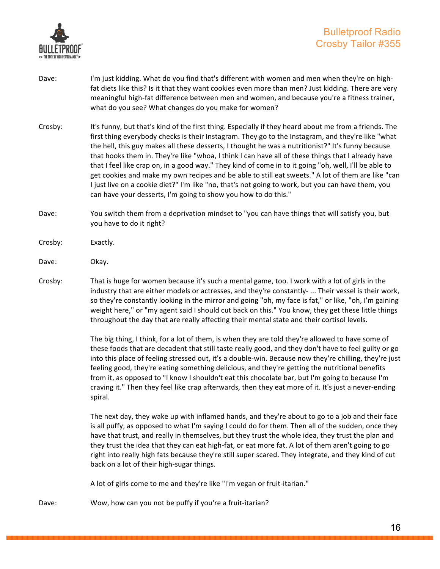

- Dave: I'm just kidding. What do you find that's different with women and men when they're on highfat diets like this? Is it that they want cookies even more than men? Just kidding. There are very meaningful high-fat difference between men and women, and because you're a fitness trainer, what do you see? What changes do you make for women?
- Crosby: It's funny, but that's kind of the first thing. Especially if they heard about me from a friends. The first thing everybody checks is their Instagram. They go to the Instagram, and they're like "what the hell, this guy makes all these desserts, I thought he was a nutritionist?" It's funny because that hooks them in. They're like "whoa, I think I can have all of these things that I already have that I feel like crap on, in a good way." They kind of come in to it going "oh, well, I'll be able to get cookies and make my own recipes and be able to still eat sweets." A lot of them are like "can I just live on a cookie diet?" I'm like "no, that's not going to work, but you can have them, you can have your desserts, I'm going to show you how to do this."
- Dave: You switch them from a deprivation mindset to "you can have things that will satisfy you, but you have to do it right?
- Crosby: Exactly.
- Dave: Okay.
- Crosby: That is huge for women because it's such a mental game, too. I work with a lot of girls in the industry that are either models or actresses, and they're constantly- ... Their vessel is their work, so they're constantly looking in the mirror and going "oh, my face is fat," or like, "oh, I'm gaining weight here," or "my agent said I should cut back on this." You know, they get these little things throughout the day that are really affecting their mental state and their cortisol levels.

The big thing, I think, for a lot of them, is when they are told they're allowed to have some of these foods that are decadent that still taste really good, and they don't have to feel guilty or go into this place of feeling stressed out, it's a double-win. Because now they're chilling, they're just feeling good, they're eating something delicious, and they're getting the nutritional benefits from it, as opposed to "I know I shouldn't eat this chocolate bar, but I'm going to because I'm craving it." Then they feel like crap afterwards, then they eat more of it. It's just a never-ending spiral.

The next day, they wake up with inflamed hands, and they're about to go to a job and their face is all puffy, as opposed to what I'm saying I could do for them. Then all of the sudden, once they have that trust, and really in themselves, but they trust the whole idea, they trust the plan and they trust the idea that they can eat high-fat, or eat more fat. A lot of them aren't going to go right into really high fats because they're still super scared. They integrate, and they kind of cut back on a lot of their high-sugar things.

A lot of girls come to me and they're like "I'm vegan or fruit-itarian."

Dave: Wow, how can you not be puffy if you're a fruit-itarian?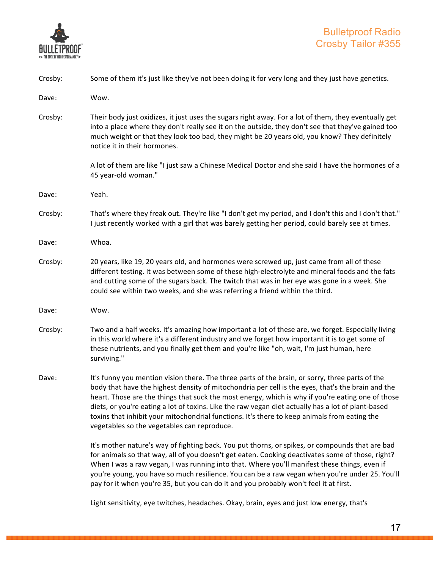

| Crosby: | Some of them it's just like they've not been doing it for very long and they just have genetics.                                                                                                                                                                                                                                                                                                                                                                                                                                                               |
|---------|----------------------------------------------------------------------------------------------------------------------------------------------------------------------------------------------------------------------------------------------------------------------------------------------------------------------------------------------------------------------------------------------------------------------------------------------------------------------------------------------------------------------------------------------------------------|
| Dave:   | Wow.                                                                                                                                                                                                                                                                                                                                                                                                                                                                                                                                                           |
| Crosby: | Their body just oxidizes, it just uses the sugars right away. For a lot of them, they eventually get<br>into a place where they don't really see it on the outside, they don't see that they've gained too<br>much weight or that they look too bad, they might be 20 years old, you know? They definitely<br>notice it in their hormones.                                                                                                                                                                                                                     |
|         | A lot of them are like "I just saw a Chinese Medical Doctor and she said I have the hormones of a<br>45 year-old woman."                                                                                                                                                                                                                                                                                                                                                                                                                                       |
| Dave:   | Yeah.                                                                                                                                                                                                                                                                                                                                                                                                                                                                                                                                                          |
| Crosby: | That's where they freak out. They're like "I don't get my period, and I don't this and I don't that."<br>I just recently worked with a girl that was barely getting her period, could barely see at times.                                                                                                                                                                                                                                                                                                                                                     |
| Dave:   | Whoa.                                                                                                                                                                                                                                                                                                                                                                                                                                                                                                                                                          |
| Crosby: | 20 years, like 19, 20 years old, and hormones were screwed up, just came from all of these<br>different testing. It was between some of these high-electrolyte and mineral foods and the fats<br>and cutting some of the sugars back. The twitch that was in her eye was gone in a week. She<br>could see within two weeks, and she was referring a friend within the third.                                                                                                                                                                                   |
| Dave:   | Wow.                                                                                                                                                                                                                                                                                                                                                                                                                                                                                                                                                           |
| Crosby: | Two and a half weeks. It's amazing how important a lot of these are, we forget. Especially living<br>in this world where it's a different industry and we forget how important it is to get some of<br>these nutrients, and you finally get them and you're like "oh, wait, I'm just human, here<br>surviving."                                                                                                                                                                                                                                                |
| Dave:   | It's funny you mention vision there. The three parts of the brain, or sorry, three parts of the<br>body that have the highest density of mitochondria per cell is the eyes, that's the brain and the<br>heart. Those are the things that suck the most energy, which is why if you're eating one of those<br>diets, or you're eating a lot of toxins. Like the raw vegan diet actually has a lot of plant-based<br>toxins that inhibit your mitochondrial functions. It's there to keep animals from eating the<br>vegetables so the vegetables can reproduce. |
|         | It's mother nature's way of fighting back. You put thorns, or spikes, or compounds that are bad<br>for animals so that way, all of you doesn't get eaten. Cooking deactivates some of those, right?<br>When I was a raw vegan, I was running into that. Where you'll manifest these things, even if<br>you're young, you have so much resilience. You can be a raw vegan when you're under 25. You'll<br>pay for it when you're 35, but you can do it and you probably won't feel it at first.                                                                 |
|         | Light sensitivity, eye twitches, headaches. Okay, brain, eyes and just low energy, that's                                                                                                                                                                                                                                                                                                                                                                                                                                                                      |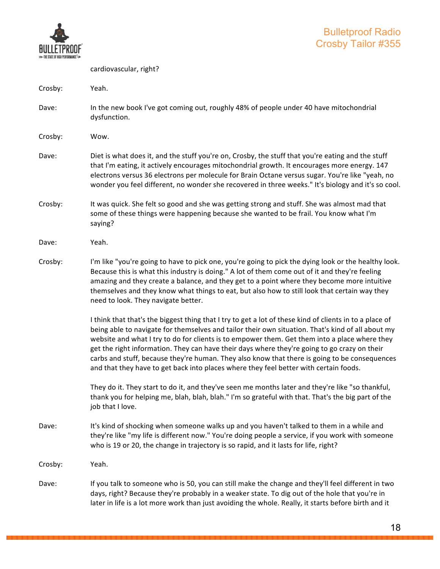

|         | cardiovascular, right?                                                                                                                                                                                                                                                                                                                                                                                                                                                                                                                                                                                  |
|---------|---------------------------------------------------------------------------------------------------------------------------------------------------------------------------------------------------------------------------------------------------------------------------------------------------------------------------------------------------------------------------------------------------------------------------------------------------------------------------------------------------------------------------------------------------------------------------------------------------------|
| Crosby: | Yeah.                                                                                                                                                                                                                                                                                                                                                                                                                                                                                                                                                                                                   |
| Dave:   | In the new book I've got coming out, roughly 48% of people under 40 have mitochondrial<br>dysfunction.                                                                                                                                                                                                                                                                                                                                                                                                                                                                                                  |
| Crosby: | Wow.                                                                                                                                                                                                                                                                                                                                                                                                                                                                                                                                                                                                    |
| Dave:   | Diet is what does it, and the stuff you're on, Crosby, the stuff that you're eating and the stuff<br>that I'm eating, it actively encourages mitochondrial growth. It encourages more energy. 147<br>electrons versus 36 electrons per molecule for Brain Octane versus sugar. You're like "yeah, no<br>wonder you feel different, no wonder she recovered in three weeks." It's biology and it's so cool.                                                                                                                                                                                              |
| Crosby: | It was quick. She felt so good and she was getting strong and stuff. She was almost mad that<br>some of these things were happening because she wanted to be frail. You know what I'm<br>saying?                                                                                                                                                                                                                                                                                                                                                                                                        |
| Dave:   | Yeah.                                                                                                                                                                                                                                                                                                                                                                                                                                                                                                                                                                                                   |
| Crosby: | I'm like "you're going to have to pick one, you're going to pick the dying look or the healthy look.<br>Because this is what this industry is doing." A lot of them come out of it and they're feeling<br>amazing and they create a balance, and they get to a point where they become more intuitive<br>themselves and they know what things to eat, but also how to still look that certain way they<br>need to look. They navigate better.                                                                                                                                                           |
|         | I think that that's the biggest thing that I try to get a lot of these kind of clients in to a place of<br>being able to navigate for themselves and tailor their own situation. That's kind of all about my<br>website and what I try to do for clients is to empower them. Get them into a place where they<br>get the right information. They can have their days where they're going to go crazy on their<br>carbs and stuff, because they're human. They also know that there is going to be consequences<br>and that they have to get back into places where they feel better with certain foods. |
|         | They do it. They start to do it, and they've seen me months later and they're like "so thankful,<br>thank you for helping me, blah, blah, blah." I'm so grateful with that. That's the big part of the<br>job that I love.                                                                                                                                                                                                                                                                                                                                                                              |
| Dave:   | It's kind of shocking when someone walks up and you haven't talked to them in a while and<br>they're like "my life is different now." You're doing people a service, if you work with someone<br>who is 19 or 20, the change in trajectory is so rapid, and it lasts for life, right?                                                                                                                                                                                                                                                                                                                   |
| Crosby: | Yeah.                                                                                                                                                                                                                                                                                                                                                                                                                                                                                                                                                                                                   |
| Dave:   | If you talk to someone who is 50, you can still make the change and they'll feel different in two<br>days, right? Because they're probably in a weaker state. To dig out of the hole that you're in<br>later in life is a lot more work than just avoiding the whole. Really, it starts before birth and it                                                                                                                                                                                                                                                                                             |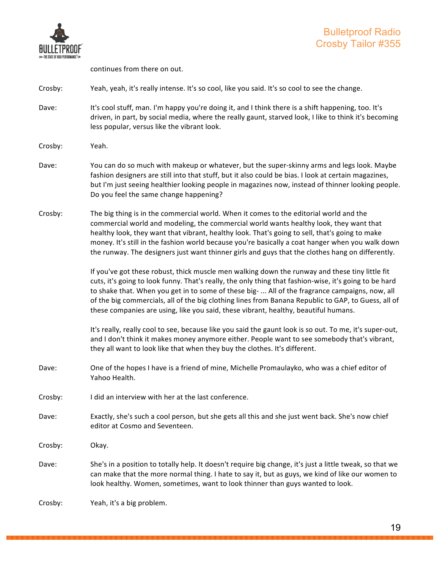

continues from there on out.

#### Crosby: Yeah, yeah, it's really intense. It's so cool, like you said. It's so cool to see the change.

- Dave: It's cool stuff, man. I'm happy you're doing it, and I think there is a shift happening, too. It's driven, in part, by social media, where the really gaunt, starved look, I like to think it's becoming less popular, versus like the vibrant look.
- Crosby: Yeah.
- Dave: You can do so much with makeup or whatever, but the super-skinny arms and legs look. Maybe fashion designers are still into that stuff, but it also could be bias. I look at certain magazines, but I'm just seeing healthier looking people in magazines now, instead of thinner looking people. Do you feel the same change happening?
- Crosby: The big thing is in the commercial world. When it comes to the editorial world and the commercial world and modeling, the commercial world wants healthy look, they want that healthy look, they want that vibrant, healthy look. That's going to sell, that's going to make money. It's still in the fashion world because you're basically a coat hanger when you walk down the runway. The designers just want thinner girls and guys that the clothes hang on differently.

If you've got these robust, thick muscle men walking down the runway and these tiny little fit cuts, it's going to look funny. That's really, the only thing that fashion-wise, it's going to be hard to shake that. When you get in to some of these big- ... All of the fragrance campaigns, now, all of the big commercials, all of the big clothing lines from Banana Republic to GAP, to Guess, all of these companies are using, like you said, these vibrant, healthy, beautiful humans.

It's really, really cool to see, because like you said the gaunt look is so out. To me, it's super-out, and I don't think it makes money anymore either. People want to see somebody that's vibrant, they all want to look like that when they buy the clothes. It's different.

- Dave: One of the hopes I have is a friend of mine, Michelle Promaulayko, who was a chief editor of Yahoo Health.
- Crosby: I did an interview with her at the last conference.
- Dave: Exactly, she's such a cool person, but she gets all this and she just went back. She's now chief editor at Cosmo and Seventeen.

Crosby: Okay.

Dave: She's in a position to totally help. It doesn't require big change, it's just a little tweak, so that we can make that the more normal thing. I hate to say it, but as guys, we kind of like our women to look healthy. Women, sometimes, want to look thinner than guys wanted to look.

Crosby: Yeah, it's a big problem.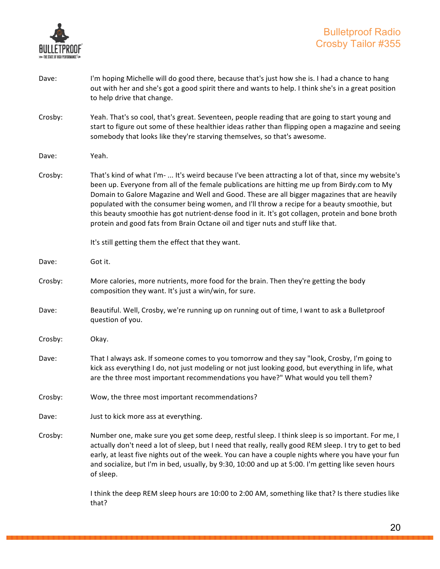

| Dave:   | I'm hoping Michelle will do good there, because that's just how she is. I had a chance to hang<br>out with her and she's got a good spirit there and wants to help. I think she's in a great position<br>to help drive that change.                                                                                                                                                                                                                                                                                                                                                        |
|---------|--------------------------------------------------------------------------------------------------------------------------------------------------------------------------------------------------------------------------------------------------------------------------------------------------------------------------------------------------------------------------------------------------------------------------------------------------------------------------------------------------------------------------------------------------------------------------------------------|
| Crosby: | Yeah. That's so cool, that's great. Seventeen, people reading that are going to start young and<br>start to figure out some of these healthier ideas rather than flipping open a magazine and seeing<br>somebody that looks like they're starving themselves, so that's awesome.                                                                                                                                                                                                                                                                                                           |
| Dave:   | Yeah.                                                                                                                                                                                                                                                                                                                                                                                                                                                                                                                                                                                      |
| Crosby: | That's kind of what I'm-  It's weird because I've been attracting a lot of that, since my website's<br>been up. Everyone from all of the female publications are hitting me up from Birdy.com to My<br>Domain to Galore Magazine and Well and Good. These are all bigger magazines that are heavily<br>populated with the consumer being women, and I'll throw a recipe for a beauty smoothie, but<br>this beauty smoothie has got nutrient-dense food in it. It's got collagen, protein and bone broth<br>protein and good fats from Brain Octane oil and tiger nuts and stuff like that. |
|         | It's still getting them the effect that they want.                                                                                                                                                                                                                                                                                                                                                                                                                                                                                                                                         |
| Dave:   | Got it.                                                                                                                                                                                                                                                                                                                                                                                                                                                                                                                                                                                    |
| Crosby: | More calories, more nutrients, more food for the brain. Then they're getting the body<br>composition they want. It's just a win/win, for sure.                                                                                                                                                                                                                                                                                                                                                                                                                                             |
| Dave:   | Beautiful. Well, Crosby, we're running up on running out of time, I want to ask a Bulletproof<br>question of you.                                                                                                                                                                                                                                                                                                                                                                                                                                                                          |
| Crosby: | Okay.                                                                                                                                                                                                                                                                                                                                                                                                                                                                                                                                                                                      |
| Dave:   | That I always ask. If someone comes to you tomorrow and they say "look, Crosby, I'm going to<br>kick ass everything I do, not just modeling or not just looking good, but everything in life, what<br>are the three most important recommendations you have?" What would you tell them?                                                                                                                                                                                                                                                                                                    |
| Crosby: | Wow, the three most important recommendations?                                                                                                                                                                                                                                                                                                                                                                                                                                                                                                                                             |
| Dave:   | Just to kick more ass at everything.                                                                                                                                                                                                                                                                                                                                                                                                                                                                                                                                                       |
| Crosby: | Number one, make sure you get some deep, restful sleep. I think sleep is so important. For me, I<br>actually don't need a lot of sleep, but I need that really, really good REM sleep. I try to get to bed<br>early, at least five nights out of the week. You can have a couple nights where you have your fun<br>and socialize, but I'm in bed, usually, by 9:30, 10:00 and up at 5:00. I'm getting like seven hours<br>of sleep.                                                                                                                                                        |
|         | I think the deep REM sleep hours are 10:00 to 2:00 AM, something like that? Is there studies like<br>that?                                                                                                                                                                                                                                                                                                                                                                                                                                                                                 |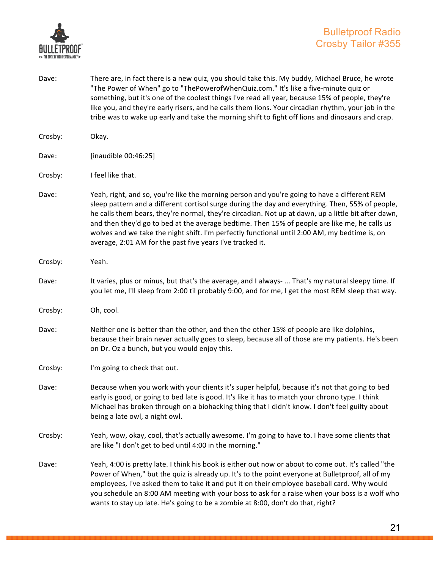

"The Power of When" go to "ThePowerofWhenQuiz.com." It's like a five-minute quiz or something, but it's one of the coolest things I've read all year, because 15% of people, they're like you, and they're early risers, and he calls them lions. Your circadian rhythm, your job in the tribe was to wake up early and take the morning shift to fight off lions and dinosaurs and crap. Crosby: Okay. Dave: [inaudible 00:46:25] Crosby: I feel like that. Dave: Yeah, right, and so, you're like the morning person and you're going to have a different REM sleep pattern and a different cortisol surge during the day and everything. Then, 55% of people, he calls them bears, they're normal, they're circadian. Not up at dawn, up a little bit after dawn, and then they'd go to bed at the average bedtime. Then 15% of people are like me, he calls us wolves and we take the night shift. I'm perfectly functional until 2:00 AM, my bedtime is, on average, 2:01 AM for the past five years I've tracked it. Crosby: Yeah. Dave: It varies, plus or minus, but that's the average, and I always- ... That's my natural sleepy time. If you let me, I'll sleep from 2:00 til probably 9:00, and for me, I get the most REM sleep that way. Crosby: Oh, cool. Dave: Neither one is better than the other, and then the other 15% of people are like dolphins, because their brain never actually goes to sleep, because all of those are my patients. He's been on Dr. Oz a bunch, but you would enjoy this. Crosby: I'm going to check that out. Dave: Because when you work with your clients it's super helpful, because it's not that going to bed early is good, or going to bed late is good. It's like it has to match your chrono type. I think Michael has broken through on a biohacking thing that I didn't know. I don't feel guilty about being a late owl, a night owl. Crosby: Yeah, wow, okay, cool, that's actually awesome. I'm going to have to. I have some clients that are like "I don't get to bed until 4:00 in the morning." Dave: Yeah, 4:00 is pretty late. I think his book is either out now or about to come out. It's called "the Power of When," but the quiz is already up. It's to the point everyone at Bulletproof, all of my

Dave: There are, in fact there is a new quiz, you should take this. My buddy, Michael Bruce, he wrote

employees, I've asked them to take it and put it on their employee baseball card. Why would you schedule an 8:00 AM meeting with your boss to ask for a raise when your boss is a wolf who wants to stay up late. He's going to be a zombie at 8:00, don't do that, right?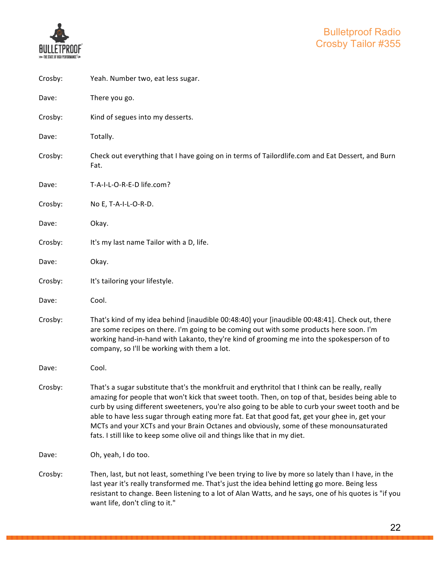

| Crosby: | Yeah. Number two, eat less sugar.                                                                                                                                                                                                                                                                                                                                                                                                                                                                                                                                                  |
|---------|------------------------------------------------------------------------------------------------------------------------------------------------------------------------------------------------------------------------------------------------------------------------------------------------------------------------------------------------------------------------------------------------------------------------------------------------------------------------------------------------------------------------------------------------------------------------------------|
| Dave:   | There you go.                                                                                                                                                                                                                                                                                                                                                                                                                                                                                                                                                                      |
| Crosby: | Kind of segues into my desserts.                                                                                                                                                                                                                                                                                                                                                                                                                                                                                                                                                   |
| Dave:   | Totally.                                                                                                                                                                                                                                                                                                                                                                                                                                                                                                                                                                           |
| Crosby: | Check out everything that I have going on in terms of Tailordlife.com and Eat Dessert, and Burn<br>Fat.                                                                                                                                                                                                                                                                                                                                                                                                                                                                            |
| Dave:   | T-A-I-L-O-R-E-D life.com?                                                                                                                                                                                                                                                                                                                                                                                                                                                                                                                                                          |
| Crosby: | No E, T-A-I-L-O-R-D.                                                                                                                                                                                                                                                                                                                                                                                                                                                                                                                                                               |
| Dave:   | Okay.                                                                                                                                                                                                                                                                                                                                                                                                                                                                                                                                                                              |
| Crosby: | It's my last name Tailor with a D, life.                                                                                                                                                                                                                                                                                                                                                                                                                                                                                                                                           |
| Dave:   | Okay.                                                                                                                                                                                                                                                                                                                                                                                                                                                                                                                                                                              |
| Crosby: | It's tailoring your lifestyle.                                                                                                                                                                                                                                                                                                                                                                                                                                                                                                                                                     |
| Dave:   | Cool.                                                                                                                                                                                                                                                                                                                                                                                                                                                                                                                                                                              |
| Crosby: | That's kind of my idea behind [inaudible 00:48:40] your [inaudible 00:48:41]. Check out, there<br>are some recipes on there. I'm going to be coming out with some products here soon. I'm<br>working hand-in-hand with Lakanto, they're kind of grooming me into the spokesperson of to<br>company, so I'll be working with them a lot.                                                                                                                                                                                                                                            |
| Dave:   | Cool.                                                                                                                                                                                                                                                                                                                                                                                                                                                                                                                                                                              |
| Crosby: | That's a sugar substitute that's the monkfruit and erythritol that I think can be really, really<br>amazing for people that won't kick that sweet tooth. Then, on top of that, besides being able to<br>curb by using different sweeteners, you're also going to be able to curb your sweet tooth and be<br>able to have less sugar through eating more fat. Eat that good fat, get your ghee in, get your<br>MCTs and your XCTs and your Brain Octanes and obviously, some of these monounsaturated<br>fats. I still like to keep some olive oil and things like that in my diet. |
| Dave:   | Oh, yeah, I do too.                                                                                                                                                                                                                                                                                                                                                                                                                                                                                                                                                                |
| Crosby: | Then, last, but not least, something I've been trying to live by more so lately than I have, in the<br>last year it's really transformed me. That's just the idea behind letting go more. Being less<br>resistant to change. Been listening to a lot of Alan Watts, and he says, one of his quotes is "if you<br>want life, don't cling to it."                                                                                                                                                                                                                                    |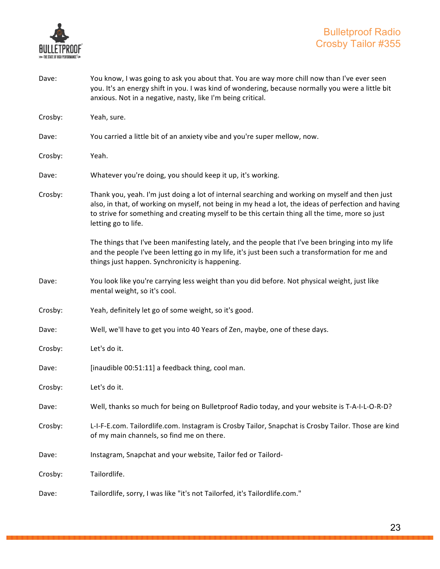

Dave: You know, I was going to ask you about that. You are way more chill now than I've ever seen you. It's an energy shift in you. I was kind of wondering, because normally you were a little bit anxious. Not in a negative, nasty, like I'm being critical. Crosby: Yeah, sure. Dave: You carried a little bit of an anxiety vibe and you're super mellow, now. Crosby: Yeah. Dave: Whatever you're doing, you should keep it up, it's working. Crosby: Thank you, yeah. I'm just doing a lot of internal searching and working on myself and then just also, in that, of working on myself, not being in my head a lot, the ideas of perfection and having to strive for something and creating myself to be this certain thing all the time, more so just letting go to life. The things that I've been manifesting lately, and the people that I've been bringing into my life and the people I've been letting go in my life, it's just been such a transformation for me and things just happen. Synchronicity is happening. Dave: You look like you're carrying less weight than you did before. Not physical weight, just like mental weight, so it's cool. Crosby: Yeah, definitely let go of some weight, so it's good. Dave: Well, we'll have to get you into 40 Years of Zen, maybe, one of these days. Crosby: Let's do it. Dave: [inaudible 00:51:11] a feedback thing, cool man. Crosby: Let's do it. Dave: Well, thanks so much for being on Bulletproof Radio today, and your website is T-A-I-L-O-R-D? Crosby: L-I-F-E.com. Tailordlife.com. Instagram is Crosby Tailor, Snapchat is Crosby Tailor. Those are kind of my main channels, so find me on there. Dave: Instagram, Snapchat and your website, Tailor fed or Tailord-Crosby: Tailordlife. Dave: Tailordlife, sorry, I was like "it's not Tailorfed, it's Tailordlife.com."